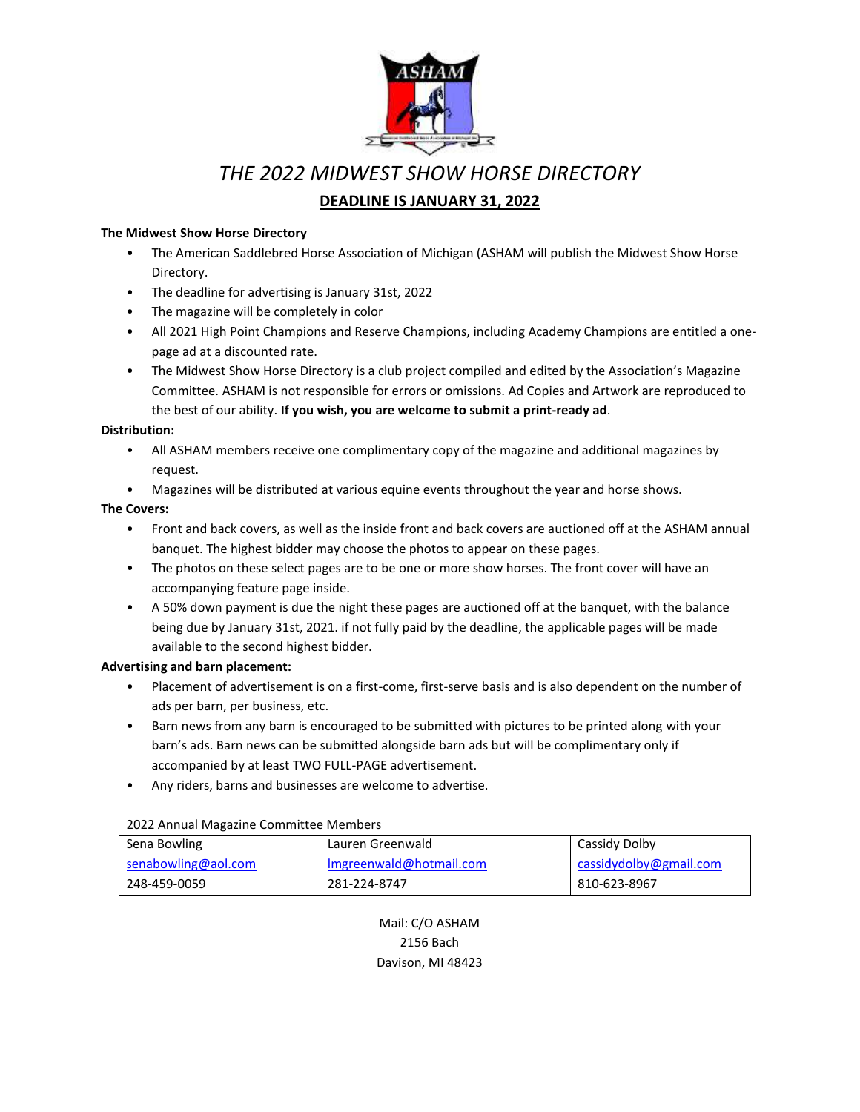

# *THE 2022 MIDWEST SHOW HORSE DIRECTORY* **DEADLINE IS JANUARY 31, 2022**

### **The Midwest Show Horse Directory**

- The American Saddlebred Horse Association of Michigan (ASHAM will publish the Midwest Show Horse Directory.
- The deadline for advertising is January 31st, 2022
- The magazine will be completely in color
- All 2021 High Point Champions and Reserve Champions, including Academy Champions are entitled a onepage ad at a discounted rate.
- The Midwest Show Horse Directory is a club project compiled and edited by the Association's Magazine Committee. ASHAM is not responsible for errors or omissions. Ad Copies and Artwork are reproduced to the best of our ability. **If you wish, you are welcome to submit a print-ready ad**.

### **Distribution:**

- All ASHAM members receive one complimentary copy of the magazine and additional magazines by request.
- Magazines will be distributed at various equine events throughout the year and horse shows.

### **The Covers:**

- Front and back covers, as well as the inside front and back covers are auctioned off at the ASHAM annual banquet. The highest bidder may choose the photos to appear on these pages.
- The photos on these select pages are to be one or more show horses. The front cover will have an accompanying feature page inside.
- A 50% down payment is due the night these pages are auctioned off at the banquet, with the balance being due by January 31st, 2021. if not fully paid by the deadline, the applicable pages will be made available to the second highest bidder.

### **Advertising and barn placement:**

- Placement of advertisement is on a first-come, first-serve basis and is also dependent on the number of ads per barn, per business, etc.
- Barn news from any barn is encouraged to be submitted with pictures to be printed along with your barn's ads. Barn news can be submitted alongside barn ads but will be complimentary only if accompanied by at least TWO FULL-PAGE advertisement.
- Any riders, barns and businesses are welcome to advertise.

### 2022 Annual Magazine Committee Members

| Sena Bowling        | Lauren Greenwald        | Cassidy Dolby          |
|---------------------|-------------------------|------------------------|
| senabowling@aol.com | Imgreenwald@hotmail.com | cassidydolby@gmail.com |
| 248-459-0059        | 281-224-8747            | 810-623-8967           |

Mail: C/O ASHAM 2156 Bach Davison, MI 48423